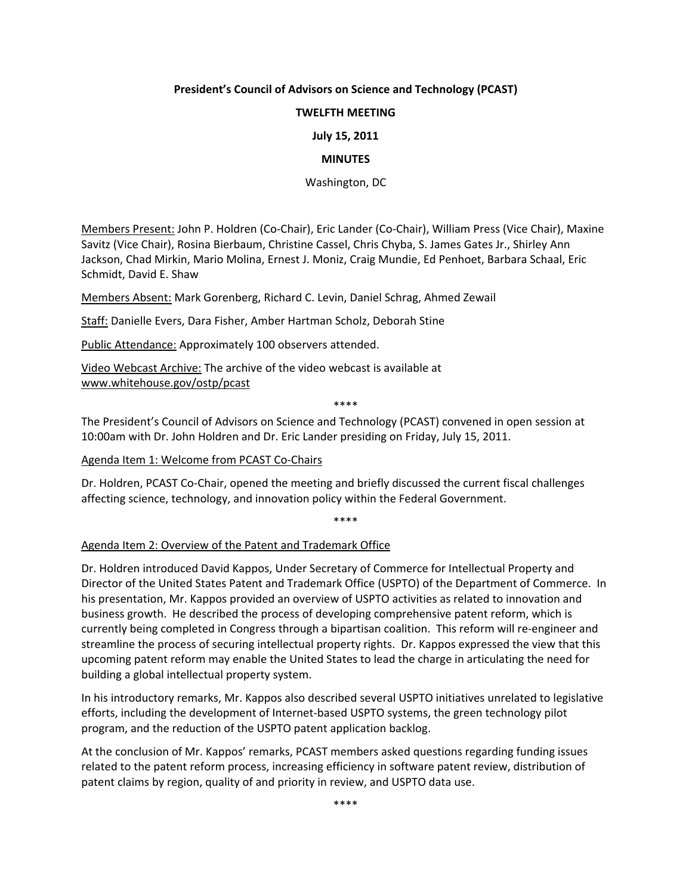## **President's Council of Advisors on Science and Technology (PCAST)**

### **TWELFTH MEETING**

#### **July 15, 2011**

#### **MINUTES**

Washington, DC

Members Present: John P. Holdren (Co‐Chair), Eric Lander (Co‐Chair), William Press (Vice Chair), Maxine Savitz (Vice Chair), Rosina Bierbaum, Christine Cassel, Chris Chyba, S. James Gates Jr., Shirley Ann Jackson, Chad Mirkin, Mario Molina, Ernest J. Moniz, Craig Mundie, Ed Penhoet, Barbara Schaal, Eric Schmidt, David E. Shaw

Members Absent: Mark Gorenberg, Richard C. Levin, Daniel Schrag, Ahmed Zewail

Staff: Danielle Evers, Dara Fisher, Amber Hartman Scholz, Deborah Stine

Public Attendance: Approximately 100 observers attended.

Video Webcast Archive: The archive of the video webcast is available at www.whitehouse.gov/ostp/pcast

\*\*\*\*

The President's Council of Advisors on Science and Technology (PCAST) convened in open session at 10:00am with Dr. John Holdren and Dr. Eric Lander presiding on Friday, July 15, 2011.

#### Agenda Item 1: Welcome from PCAST Co‐Chairs

Dr. Holdren, PCAST Co‐Chair, opened the meeting and briefly discussed the current fiscal challenges affecting science, technology, and innovation policy within the Federal Government.

\*\*\*\*

#### Agenda Item 2: Overview of the Patent and Trademark Office

Dr. Holdren introduced David Kappos, Under Secretary of Commerce for Intellectual Property and Director of the United States Patent and Trademark Office (USPTO) of the Department of Commerce. In his presentation, Mr. Kappos provided an overview of USPTO activities as related to innovation and business growth. He described the process of developing comprehensive patent reform, which is currently being completed in Congress through a bipartisan coalition. This reform will re‐engineer and streamline the process of securing intellectual property rights. Dr. Kappos expressed the view that this upcoming patent reform may enable the United States to lead the charge in articulating the need for building a global intellectual property system.

In his introductory remarks, Mr. Kappos also described several USPTO initiatives unrelated to legislative efforts, including the development of Internet-based USPTO systems, the green technology pilot program, and the reduction of the USPTO patent application backlog.

At the conclusion of Mr. Kappos' remarks, PCAST members asked questions regarding funding issues related to the patent reform process, increasing efficiency in software patent review, distribution of patent claims by region, quality of and priority in review, and USPTO data use.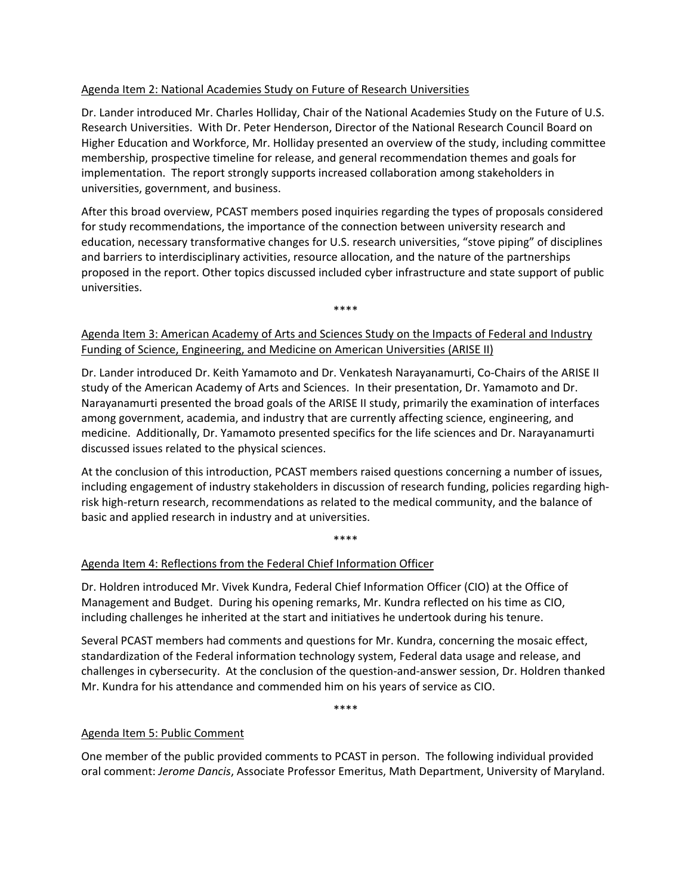## Agenda Item 2: National Academies Study on Future of Research Universities

Dr. Lander introduced Mr. Charles Holliday, Chair of the National Academies Study on the Future of U.S. Research Universities. With Dr. Peter Henderson, Director of the National Research Council Board on Higher Education and Workforce, Mr. Holliday presented an overview of the study, including committee membership, prospective timeline for release, and general recommendation themes and goals for implementation. The report strongly supports increased collaboration among stakeholders in universities, government, and business.

After this broad overview, PCAST members posed inquiries regarding the types of proposals considered for study recommendations, the importance of the connection between university research and education, necessary transformative changes for U.S. research universities, "stove piping" of disciplines and barriers to interdisciplinary activities, resource allocation, and the nature of the partnerships proposed in the report. Other topics discussed included cyber infrastructure and state support of public universities.

\*\*\*\*

# Agenda Item 3: American Academy of Arts and Sciences Study on the Impacts of Federal and Industry Funding of Science, Engineering, and Medicine on American Universities (ARISE II)

Dr. Lander introduced Dr. Keith Yamamoto and Dr. Venkatesh Narayanamurti, Co‐Chairs of the ARISE II study of the American Academy of Arts and Sciences. In their presentation, Dr. Yamamoto and Dr. Narayanamurti presented the broad goals of the ARISE II study, primarily the examination of interfaces among government, academia, and industry that are currently affecting science, engineering, and medicine. Additionally, Dr. Yamamoto presented specifics for the life sciences and Dr. Narayanamurti discussed issues related to the physical sciences.

At the conclusion of this introduction, PCAST members raised questions concerning a number of issues, including engagement of industry stakeholders in discussion of research funding, policies regarding high‐ risk high‐return research, recommendations as related to the medical community, and the balance of basic and applied research in industry and at universities.

\*\*\*\*

# Agenda Item 4: Reflections from the Federal Chief Information Officer

Dr. Holdren introduced Mr. Vivek Kundra, Federal Chief Information Officer (CIO) at the Office of Management and Budget. During his opening remarks, Mr. Kundra reflected on his time as CIO, including challenges he inherited at the start and initiatives he undertook during his tenure.

Several PCAST members had comments and questions for Mr. Kundra, concerning the mosaic effect, standardization of the Federal information technology system, Federal data usage and release, and challenges in cybersecurity. At the conclusion of the question‐and‐answer session, Dr. Holdren thanked Mr. Kundra for his attendance and commended him on his years of service as CIO.

\*\*\*\*

## Agenda Item 5: Public Comment

One member of the public provided comments to PCAST in person. The following individual provided oral comment: *Jerome Dancis*, Associate Professor Emeritus, Math Department, University of Maryland.